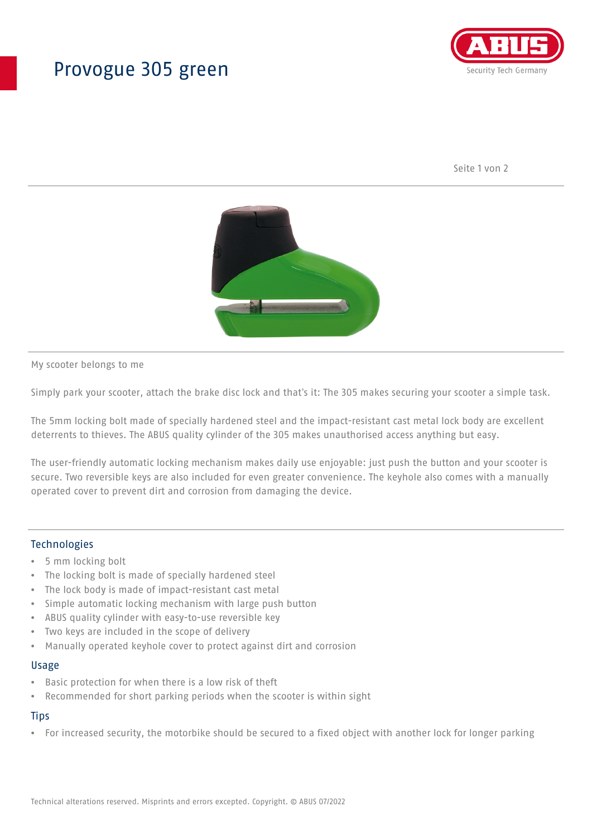## Provogue 305 green



Seite 1 von 2



My scooter belongs to me

Simply park your scooter, attach the brake disc lock and that's it: The 305 makes securing your scooter a simple task.

The 5mm locking bolt made of specially hardened steel and the impact-resistant cast metal lock body are excellent deterrents to thieves. The ABUS quality cylinder of the 305 makes unauthorised access anything but easy.

The user-friendly automatic locking mechanism makes daily use enjoyable: just push the button and your scooter is secure. Two reversible keys are also included for even greater convenience. The keyhole also comes with a manually operated cover to prevent dirt and corrosion from damaging the device.

### Technologies

- 5 mm locking bolt
- The locking bolt is made of specially hardened steel
- The lock body is made of impact-resistant cast metal
- Simple automatic locking mechanism with large push button
- ABUS quality cylinder with easy-to-use reversible key
- Two keys are included in the scope of delivery
- Manually operated keyhole cover to protect against dirt and corrosion

#### Usage

- Basic protection for when there is a low risk of theft
- Recommended for short parking periods when the scooter is within sight

### **Tips**

• For increased security, the motorbike should be secured to a fixed object with another lock for longer parking